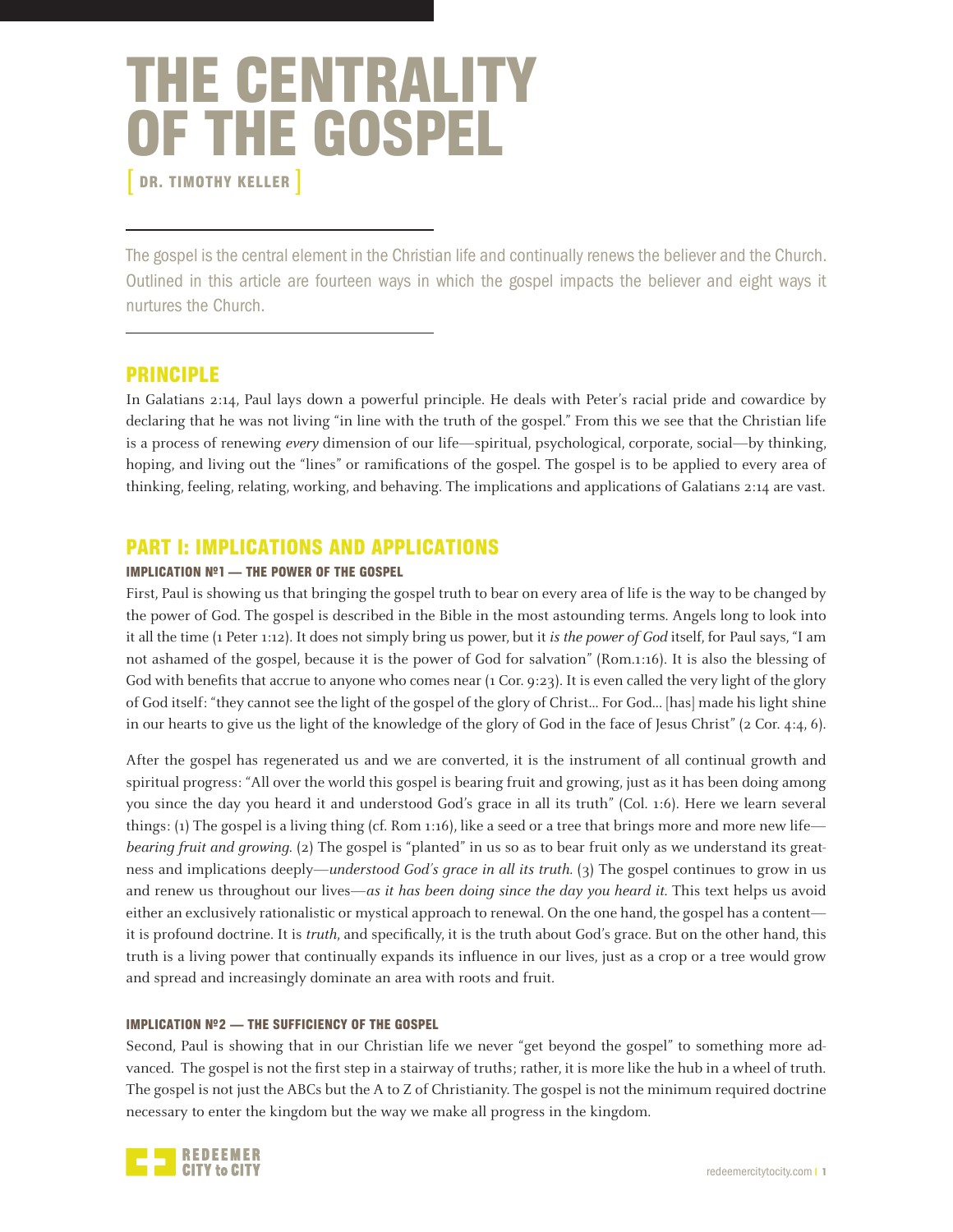# THE CENTRALITY OF THE GOSPEL **DR. TIMOTHY KELLER**

The gospel is the central element in the Christian life and continually renews the believer and the Church. Outlined in this article are fourteen ways in which the gospel impacts the believer and eight ways it nurtures the Church.

# PRINCIPLE

In Galatians 2:14, Paul lays down a powerful principle. He deals with Peter's racial pride and cowardice by declaring that he was not living "in line with the truth of the gospel." From this we see that the Christian life is a process of renewing every dimension of our life—spiritual, psychological, corporate, social—by thinking, hoping, and living out the "lines" or ramifications of the gospel. The gospel is to be applied to every area of thinking, feeling, relating, working, and behaving. The implications and applications of Galatians 2:14 are vast.

# PART I: IMPLICATIONS AND APPLICATIONS

# $IMPLICATION N<sup>o</sup>1$  — THE POWER OF THE GOSPEL

First, Paul is showing us that bringing the gospel truth to bear on every area of life is the way to be changed by the power of God. The gospel is described in the Bible in the most astounding terms. Angels long to look into it all the time (1 Peter 1:12). It does not simply bring us power, but it is the power of God itself, for Paul says, "I am not ashamed of the gospel, because it is the power of God for salvation" (Rom.1:16). It is also the blessing of God with benefits that accrue to anyone who comes near (1 Cor. 9:23). It is even called the very light of the glory of God itself: "they cannot see the light of the gospel of the glory of Christ... For God... [has] made his light shine in our hearts to give us the light of the knowledge of the glory of God in the face of Jesus Christ" (2 Cor. 4:4, 6).

After the gospel has regenerated us and we are converted, it is the instrument of all continual growth and spiritual progress: "All over the world this gospel is bearing fruit and growing, just as it has been doing among you since the day you heard it and understood God's grace in all its truth" (Col. 1:6). Here we learn several things: (1) The gospel is a living thing (cf. Rom 1:16), like a seed or a tree that brings more and more new life bearing fruit and growing. (2) The gospel is "planted" in us so as to bear fruit only as we understand its greatness and implications deeply—understood God's grace in all its truth. (3) The gospel continues to grow in us and renew us throughout our lives—as it has been doing since the day you heard it. This text helps us avoid either an exclusively rationalistic or mystical approach to renewal. On the one hand, the gospel has a content it is profound doctrine. It is truth, and specifically, it is the truth about God's grace. But on the other hand, this truth is a living power that continually expands its influence in our lives, just as a crop or a tree would grow and spread and increasingly dominate an area with roots and fruit.

# $IMPLICATION N<sup>2</sup>$   $-$  the sufficiency of the gospel

Second, Paul is showing that in our Christian life we never "get beyond the gospel" to something more advanced. The gospel is not the first step in a stairway of truths; rather, it is more like the hub in a wheel of truth. The gospel is not just the ABCs but the A to Z of Christianity. The gospel is not the minimum required doctrine necessary to enter the kingdom but the way we make all progress in the kingdom.

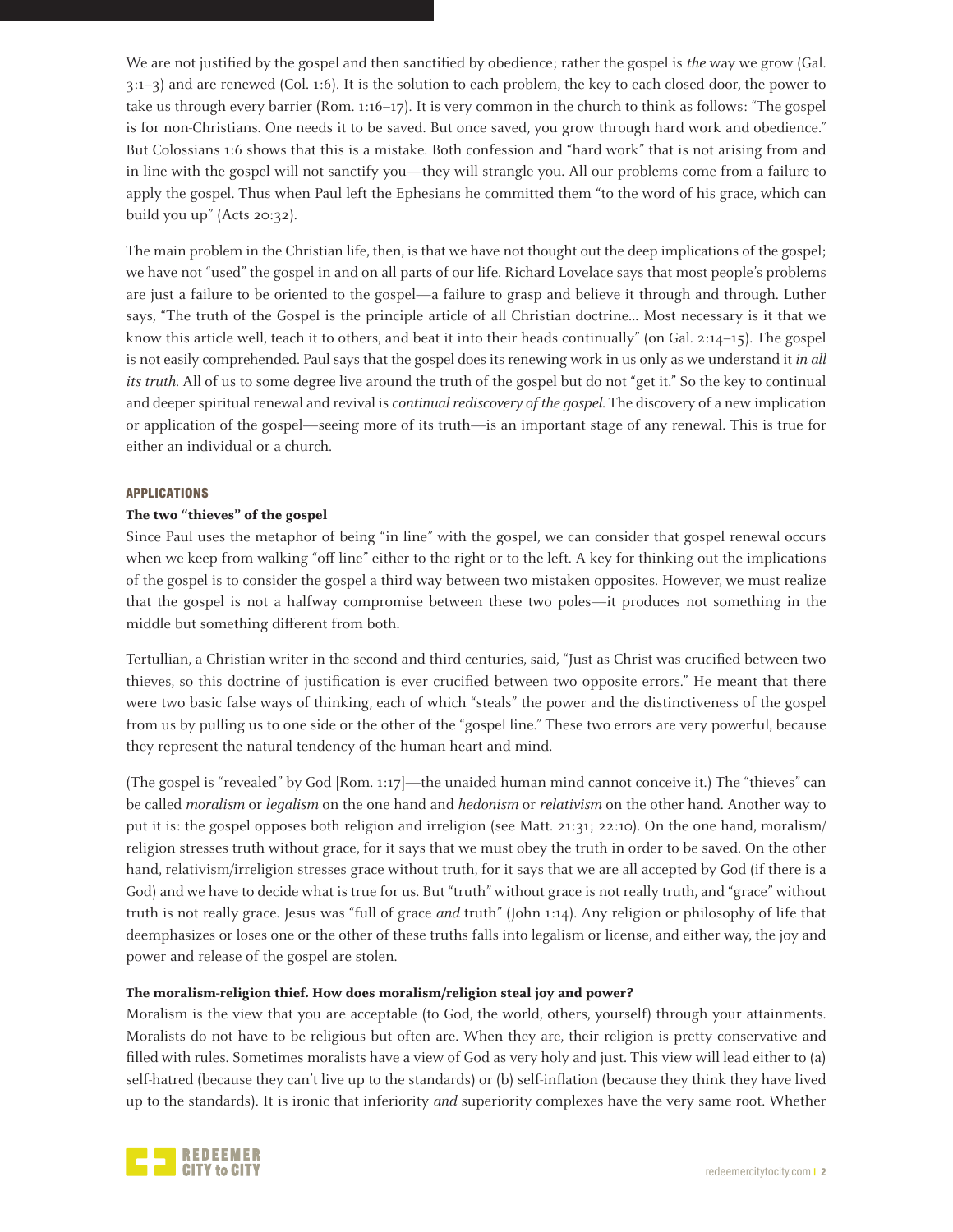We are not justified by the gospel and then sanctified by obedience; rather the gospel is the way we grow (Gal. 3:1–3) and are renewed (Col. 1:6). It is the solution to each problem, the key to each closed door, the power to take us through every barrier (Rom. 1:16–17). It is very common in the church to think as follows: "The gospel is for non-Christians. One needs it to be saved. But once saved, you grow through hard work and obedience." But Colossians 1:6 shows that this is a mistake. Both confession and "hard work" that is not arising from and in line with the gospel will not sanctify you—they will strangle you. All our problems come from a failure to apply the gospel. Thus when Paul left the Ephesians he committed them "to the word of his grace, which can build you up" (Acts 20:32).

The main problem in the Christian life, then, is that we have not thought out the deep implications of the gospel; we have not "used" the gospel in and on all parts of our life. Richard Lovelace says that most people's problems are just a failure to be oriented to the gospel—a failure to grasp and believe it through and through. Luther says, "The truth of the Gospel is the principle article of all Christian doctrine... Most necessary is it that we know this article well, teach it to others, and beat it into their heads continually" (on Gal. 2:14–15). The gospel is not easily comprehended. Paul says that the gospel does its renewing work in us only as we understand it in all its truth. All of us to some degree live around the truth of the gospel but do not "get it." So the key to continual and deeper spiritual renewal and revival is continual rediscovery of the gospel. The discovery of a new implication or application of the gospel—seeing more of its truth—is an important stage of any renewal. This is true for either an individual or a church.

#### APPLICATIONS

#### **The two "thieves" of the gospel**

Since Paul uses the metaphor of being "in line" with the gospel, we can consider that gospel renewal occurs when we keep from walking "off line" either to the right or to the left. A key for thinking out the implications of the gospel is to consider the gospel a third way between two mistaken opposites. However, we must realize that the gospel is not a halfway compromise between these two poles—it produces not something in the middle but something different from both.

Tertullian, a Christian writer in the second and third centuries, said, "Just as Christ was crucified between two thieves, so this doctrine of justification is ever crucified between two opposite errors." He meant that there were two basic false ways of thinking, each of which "steals" the power and the distinctiveness of the gospel from us by pulling us to one side or the other of the "gospel line." These two errors are very powerful, because they represent the natural tendency of the human heart and mind.

(The gospel is "revealed" by God [Rom. 1:17]—the unaided human mind cannot conceive it.) The "thieves" can be called moralism or legalism on the one hand and hedonism or relativism on the other hand. Another way to put it is: the gospel opposes both religion and irreligion (see Matt. 21:31; 22:10). On the one hand, moralism/ religion stresses truth without grace, for it says that we must obey the truth in order to be saved. On the other hand, relativism/irreligion stresses grace without truth, for it says that we are all accepted by God (if there is a God) and we have to decide what is true for us. But "truth" without grace is not really truth, and "grace" without truth is not really grace. Jesus was "full of grace and truth" (John 1:14). Any religion or philosophy of life that deemphasizes or loses one or the other of these truths falls into legalism or license, and either way, the joy and power and release of the gospel are stolen.

#### **The moralism-religion thief. How does moralism/religion steal joy and power?**

Moralism is the view that you are acceptable (to God, the world, others, yourself) through your attainments. Moralists do not have to be religious but often are. When they are, their religion is pretty conservative and filled with rules. Sometimes moralists have a view of God as very holy and just. This view will lead either to (a) self-hatred (because they can't live up to the standards) or (b) self-inflation (because they think they have lived up to the standards). It is ironic that inferiority and superiority complexes have the very same root. Whether

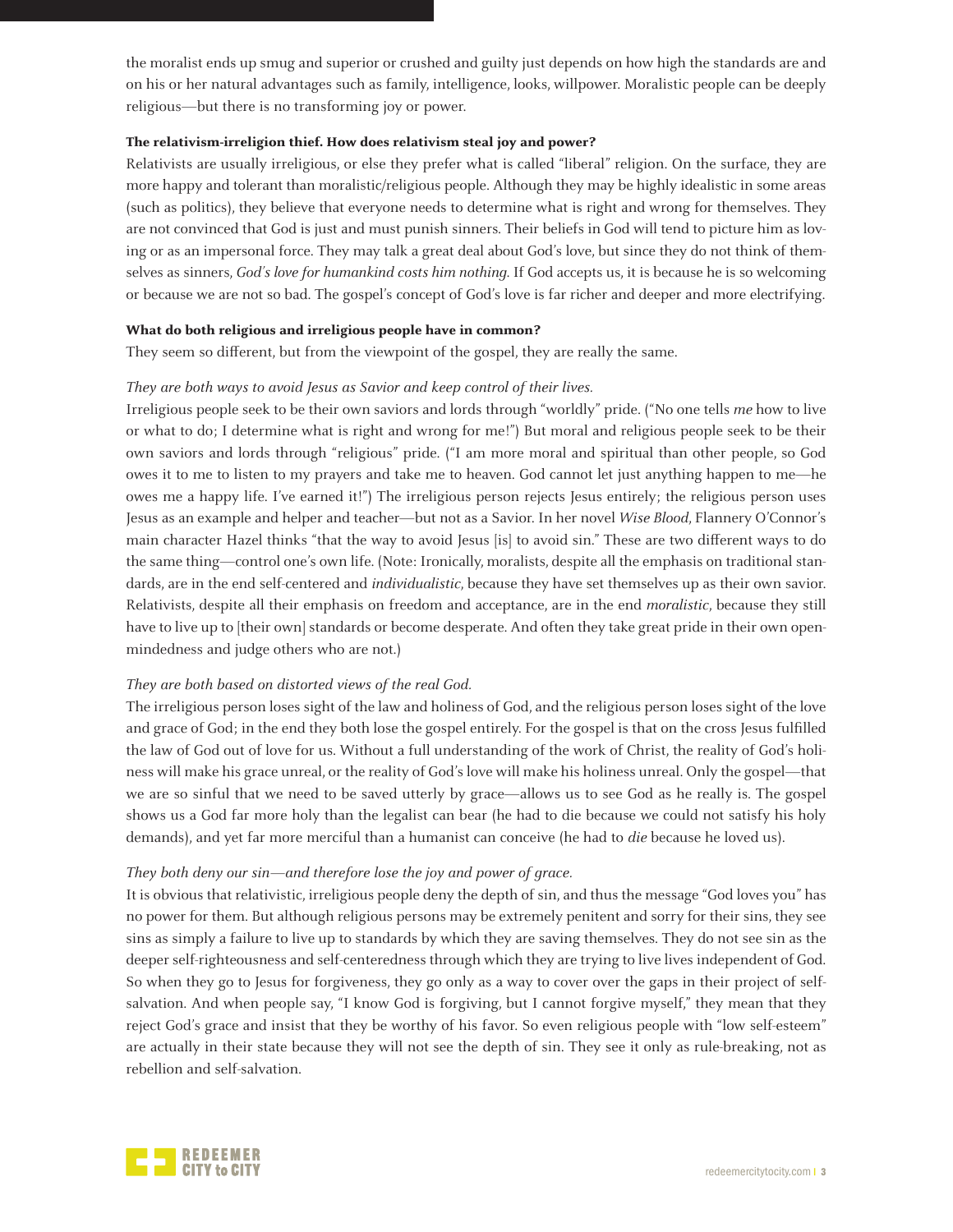the moralist ends up smug and superior or crushed and guilty just depends on how high the standards are and on his or her natural advantages such as family, intelligence, looks, willpower. Moralistic people can be deeply religious—but there is no transforming joy or power.

## **The relativism-irreligion thief. How does relativism steal joy and power?**

Relativists are usually irreligious, or else they prefer what is called "liberal" religion. On the surface, they are more happy and tolerant than moralistic/religious people. Although they may be highly idealistic in some areas (such as politics), they believe that everyone needs to determine what is right and wrong for themselves. They are not convinced that God is just and must punish sinners. Their beliefs in God will tend to picture him as loving or as an impersonal force. They may talk a great deal about God's love, but since they do not think of themselves as sinners, God's love for humankind costs him nothing. If God accepts us, it is because he is so welcoming or because we are not so bad. The gospel's concept of God's love is far richer and deeper and more electrifying.

## **What do both religious and irreligious people have in common?**

They seem so different, but from the viewpoint of the gospel, they are really the same.

## They are both ways to avoid Jesus as Savior and keep control of their lives.

Irreligious people seek to be their own saviors and lords through "worldly" pride. ("No one tells me how to live or what to do; I determine what is right and wrong for me!") But moral and religious people seek to be their own saviors and lords through "religious" pride. ("I am more moral and spiritual than other people, so God owes it to me to listen to my prayers and take me to heaven. God cannot let just anything happen to me—he owes me a happy life. I've earned it!") The irreligious person rejects Jesus entirely; the religious person uses Jesus as an example and helper and teacher—but not as a Savior. In her novel Wise Blood, Flannery O'Connor's main character Hazel thinks "that the way to avoid Jesus [is] to avoid sin." These are two different ways to do the same thing—control one's own life. (Note: Ironically, moralists, despite all the emphasis on traditional standards, are in the end self-centered and *individualistic*, because they have set themselves up as their own savior. Relativists, despite all their emphasis on freedom and acceptance, are in the end moralistic, because they still have to live up to [their own] standards or become desperate. And often they take great pride in their own openmindedness and judge others who are not.)

# They are both based on distorted views of the real God.

The irreligious person loses sight of the law and holiness of God, and the religious person loses sight of the love and grace of God; in the end they both lose the gospel entirely. For the gospel is that on the cross Jesus fulfilled the law of God out of love for us. Without a full understanding of the work of Christ, the reality of God's holiness will make his grace unreal, or the reality of God's love will make his holiness unreal. Only the gospel—that we are so sinful that we need to be saved utterly by grace—allows us to see God as he really is. The gospel shows us a God far more holy than the legalist can bear (he had to die because we could not satisfy his holy demands), and yet far more merciful than a humanist can conceive (he had to die because he loved us).

# They both deny our sin—and therefore lose the joy and power of grace.

It is obvious that relativistic, irreligious people deny the depth of sin, and thus the message "God loves you" has no power for them. But although religious persons may be extremely penitent and sorry for their sins, they see sins as simply a failure to live up to standards by which they are saving themselves. They do not see sin as the deeper self-righteousness and self-centeredness through which they are trying to live lives independent of God. So when they go to Jesus for forgiveness, they go only as a way to cover over the gaps in their project of selfsalvation. And when people say, "I know God is forgiving, but I cannot forgive myself," they mean that they reject God's grace and insist that they be worthy of his favor. So even religious people with "low self-esteem" are actually in their state because they will not see the depth of sin. They see it only as rule-breaking, not as rebellion and self-salvation.

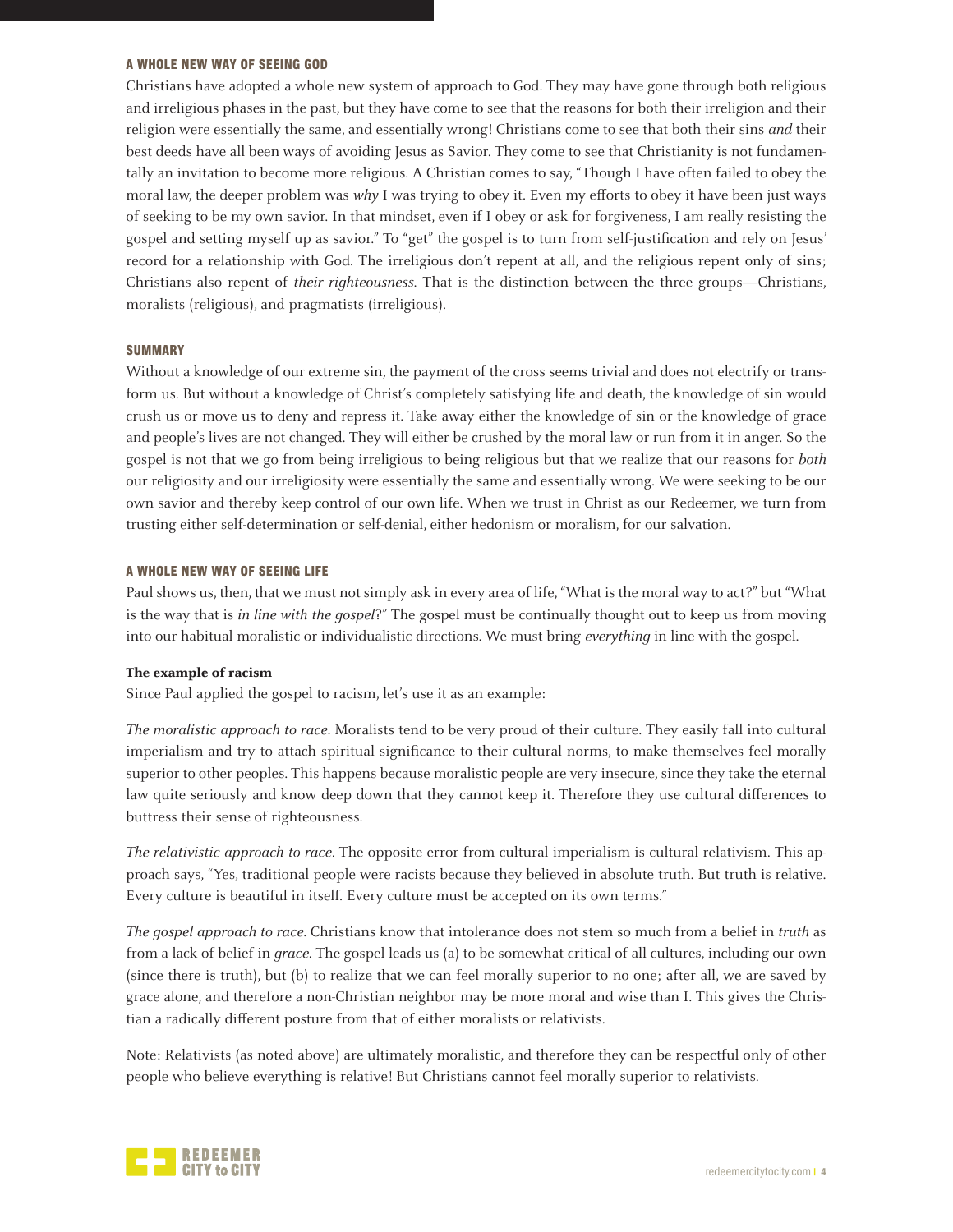#### A WHOLE NEW WAY OF SEEING GOD

Christians have adopted a whole new system of approach to God. They may have gone through both religious and irreligious phases in the past, but they have come to see that the reasons for both their irreligion and their religion were essentially the same, and essentially wrong! Christians come to see that both their sins and their best deeds have all been ways of avoiding Jesus as Savior. They come to see that Christianity is not fundamentally an invitation to become more religious. A Christian comes to say, "Though I have often failed to obey the moral law, the deeper problem was why I was trying to obey it. Even my efforts to obey it have been just ways of seeking to be my own savior. In that mindset, even if I obey or ask for forgiveness, I am really resisting the gospel and setting myself up as savior." To "get" the gospel is to turn from self-justification and rely on Jesus' record for a relationship with God. The irreligious don't repent at all, and the religious repent only of sins; Christians also repent of their righteousness. That is the distinction between the three groups—Christians, moralists (religious), and pragmatists (irreligious).

#### **SUMMARY**

Without a knowledge of our extreme sin, the payment of the cross seems trivial and does not electrify or transform us. But without a knowledge of Christ's completely satisfying life and death, the knowledge of sin would crush us or move us to deny and repress it. Take away either the knowledge of sin or the knowledge of grace and people's lives are not changed. They will either be crushed by the moral law or run from it in anger. So the gospel is not that we go from being irreligious to being religious but that we realize that our reasons for both our religiosity and our irreligiosity were essentially the same and essentially wrong. We were seeking to be our own savior and thereby keep control of our own life. When we trust in Christ as our Redeemer, we turn from trusting either self-determination or self-denial, either hedonism or moralism, for our salvation.

#### A WHOLE NEW WAY OF SEEING LIFE

Paul shows us, then, that we must not simply ask in every area of life, "What is the moral way to act?" but "What is the way that is in line with the gospel?" The gospel must be continually thought out to keep us from moving into our habitual moralistic or individualistic directions. We must bring everything in line with the gospel.

#### **The example of racism**

Since Paul applied the gospel to racism, let's use it as an example:

The moralistic approach to race. Moralists tend to be very proud of their culture. They easily fall into cultural imperialism and try to attach spiritual significance to their cultural norms, to make themselves feel morally superior to other peoples. This happens because moralistic people are very insecure, since they take the eternal law quite seriously and know deep down that they cannot keep it. Therefore they use cultural differences to buttress their sense of righteousness.

The relativistic approach to race. The opposite error from cultural imperialism is cultural relativism. This approach says, "Yes, traditional people were racists because they believed in absolute truth. But truth is relative. Every culture is beautiful in itself. Every culture must be accepted on its own terms."

The gospel approach to race. Christians know that intolerance does not stem so much from a belief in truth as from a lack of belief in *grace*. The gospel leads us (a) to be somewhat critical of all cultures, including our own (since there is truth), but (b) to realize that we can feel morally superior to no one; after all, we are saved by grace alone, and therefore a non-Christian neighbor may be more moral and wise than I. This gives the Christian a radically different posture from that of either moralists or relativists.

Note: Relativists (as noted above) are ultimately moralistic, and therefore they can be respectful only of other people who believe everything is relative! But Christians cannot feel morally superior to relativists.

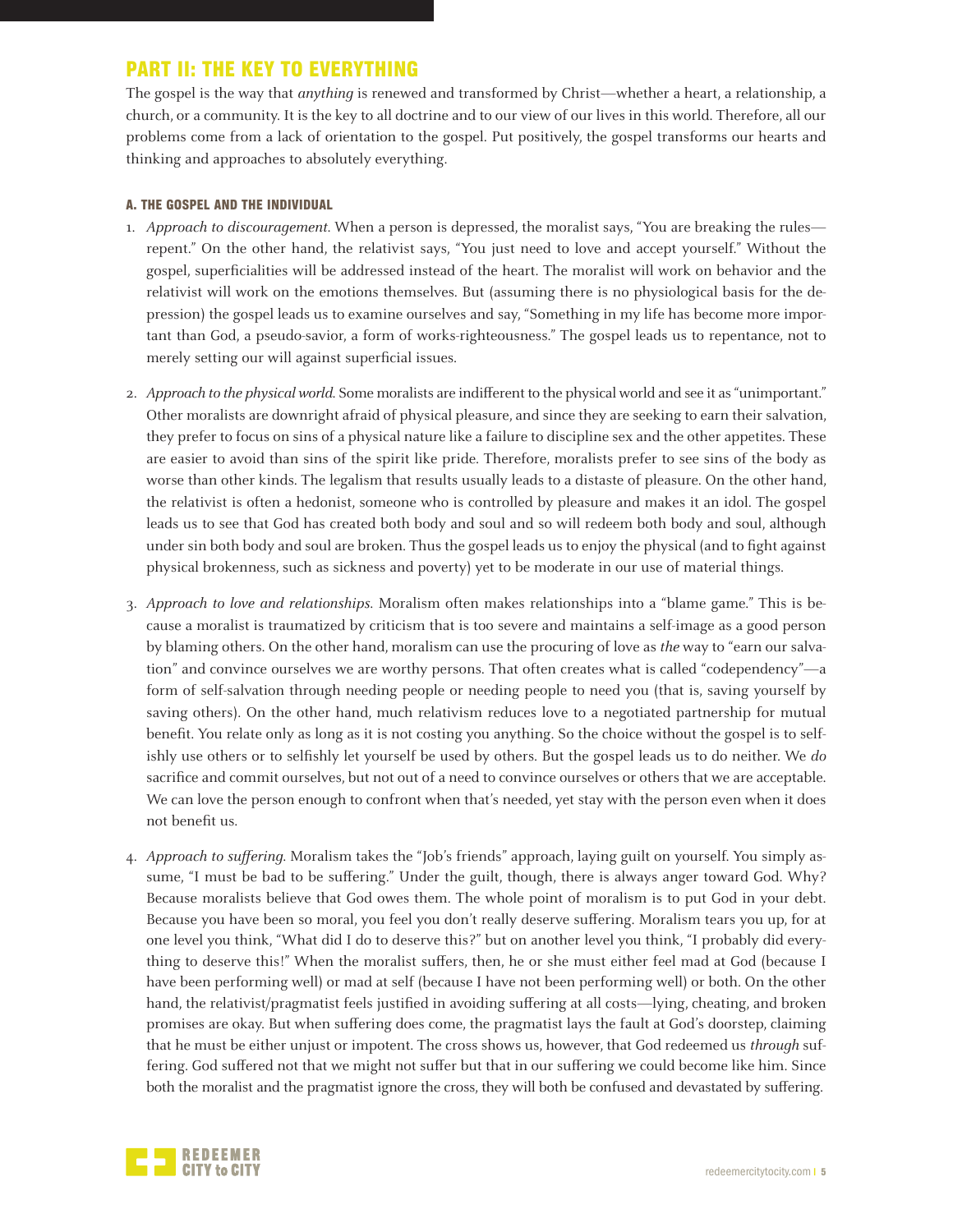# PART II: THE KEY TO EVERYTHING

The gospel is the way that *anything* is renewed and transformed by Christ—whether a heart, a relationship, a church, or a community. It is the key to all doctrine and to our view of our lives in this world. Therefore, all our problems come from a lack of orientation to the gospel. Put positively, the gospel transforms our hearts and thinking and approaches to absolutely everything.

# A. THE GOSPEL AND THE INDIVIDUAL

- 1. Approach to discouragement. When a person is depressed, the moralist says, "You are breaking the rules repent." On the other hand, the relativist says, "You just need to love and accept yourself." Without the gospel, superficialities will be addressed instead of the heart. The moralist will work on behavior and the relativist will work on the emotions themselves. But (assuming there is no physiological basis for the depression) the gospel leads us to examine ourselves and say, "Something in my life has become more important than God, a pseudo-savior, a form of works-righteousness." The gospel leads us to repentance, not to merely setting our will against superficial issues.
- 2. Approach to the physical world. Some moralists are indifferent to the physical world and see it as "unimportant." Other moralists are downright afraid of physical pleasure, and since they are seeking to earn their salvation, they prefer to focus on sins of a physical nature like a failure to discipline sex and the other appetites. These are easier to avoid than sins of the spirit like pride. Therefore, moralists prefer to see sins of the body as worse than other kinds. The legalism that results usually leads to a distaste of pleasure. On the other hand, the relativist is often a hedonist, someone who is controlled by pleasure and makes it an idol. The gospel leads us to see that God has created both body and soul and so will redeem both body and soul, although under sin both body and soul are broken. Thus the gospel leads us to enjoy the physical (and to fight against physical brokenness, such as sickness and poverty) yet to be moderate in our use of material things.
- 3. Approach to love and relationships. Moralism often makes relationships into a "blame game." This is because a moralist is traumatized by criticism that is too severe and maintains a self-image as a good person by blaming others. On the other hand, moralism can use the procuring of love as the way to "earn our salvation" and convince ourselves we are worthy persons. That often creates what is called "codependency"—a form of self-salvation through needing people or needing people to need you (that is, saving yourself by saving others). On the other hand, much relativism reduces love to a negotiated partnership for mutual benefit. You relate only as long as it is not costing you anything. So the choice without the gospel is to selfishly use others or to selfishly let yourself be used by others. But the gospel leads us to do neither. We do sacrifice and commit ourselves, but not out of a need to convince ourselves or others that we are acceptable. We can love the person enough to confront when that's needed, yet stay with the person even when it does not benefit us.
- 4. Approach to suffering. Moralism takes the "Job's friends" approach, laying guilt on yourself. You simply assume, "I must be bad to be suffering." Under the guilt, though, there is always anger toward God. Why? Because moralists believe that God owes them. The whole point of moralism is to put God in your debt. Because you have been so moral, you feel you don't really deserve suffering. Moralism tears you up, for at one level you think, "What did I do to deserve this?" but on another level you think, "I probably did everything to deserve this!" When the moralist suffers, then, he or she must either feel mad at God (because I have been performing well) or mad at self (because I have not been performing well) or both. On the other hand, the relativist/pragmatist feels justified in avoiding suffering at all costs—lying, cheating, and broken promises are okay. But when suffering does come, the pragmatist lays the fault at God's doorstep, claiming that he must be either unjust or impotent. The cross shows us, however, that God redeemed us through suffering. God suffered not that we might not suffer but that in our suffering we could become like him. Since both the moralist and the pragmatist ignore the cross, they will both be confused and devastated by suffering.

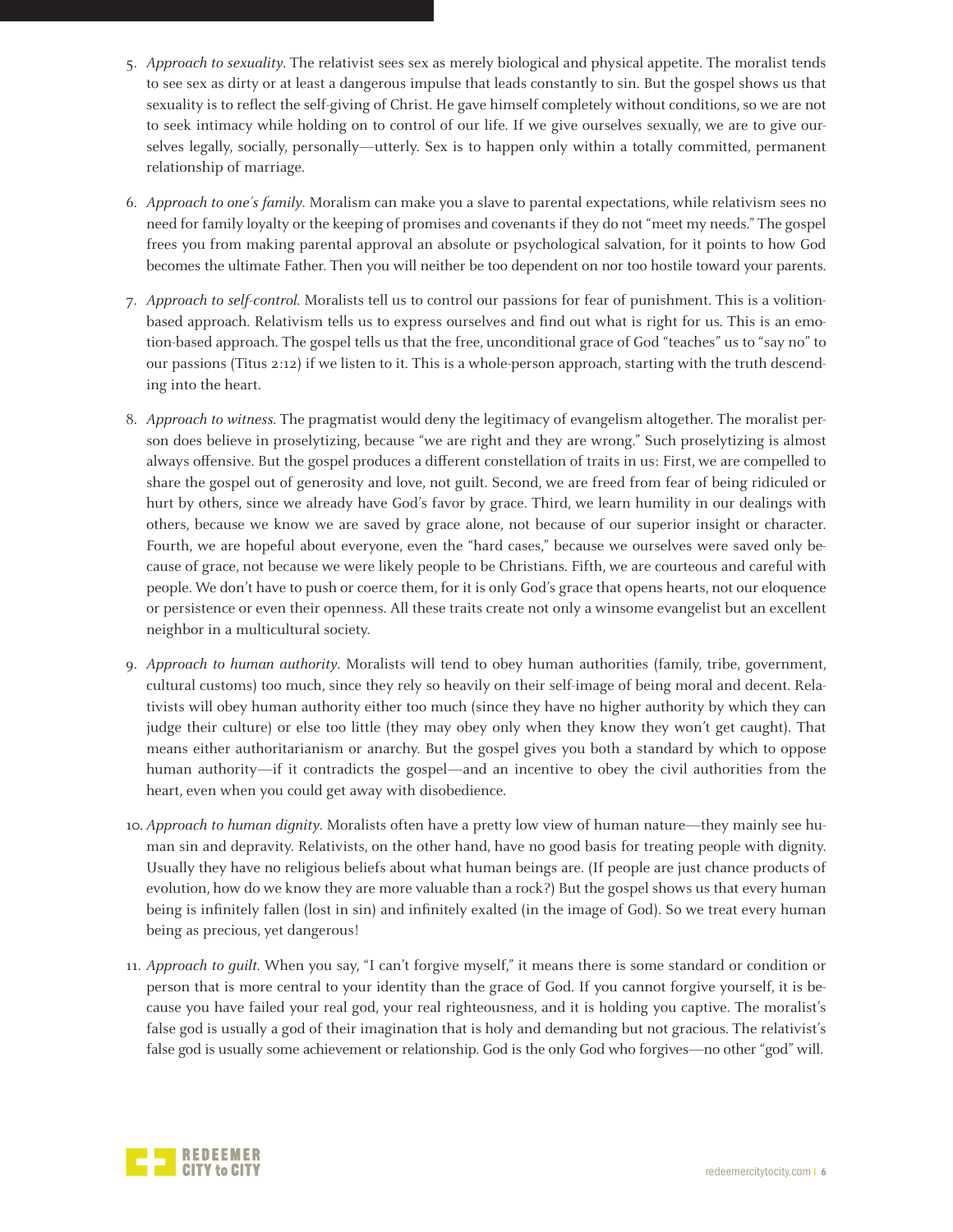- 5. Approach to sexuality. The relativist sees sex as merely biological and physical appetite. The moralist tends to see sex as dirty or at least a dangerous impulse that leads constantly to sin. But the gospel shows us that sexuality is to reflect the self-giving of Christ. He gave himself completely without conditions, so we are not to seek intimacy while holding on to control of our life. If we give ourselves sexually, we are to give ourselves legally, socially, personally—utterly. Sex is to happen only within a totally committed, permanent relationship of marriage.
- 6. Approach to one's family. Moralism can make you a slave to parental expectations, while relativism sees no need for family loyalty or the keeping of promises and covenants if they do not "meet my needs." The gospel frees you from making parental approval an absolute or psychological salvation, for it points to how God becomes the ultimate Father. Then you will neither be too dependent on nor too hostile toward your parents.
- 7. Approach to self-control. Moralists tell us to control our passions for fear of punishment. This is a volitionbased approach. Relativism tells us to express ourselves and find out what is right for us. This is an emotion-based approach. The gospel tells us that the free, unconditional grace of God "teaches" us to "say no" to our passions (Titus 2:12) if we listen to it. This is a whole-person approach, starting with the truth descending into the heart.
- 8. Approach to witness. The pragmatist would deny the legitimacy of evangelism altogether. The moralist person does believe in proselytizing, because "we are right and they are wrong." Such proselytizing is almost always offensive. But the gospel produces a different constellation of traits in us: First, we are compelled to share the gospel out of generosity and love, not guilt. Second, we are freed from fear of being ridiculed or hurt by others, since we already have God's favor by grace. Third, we learn humility in our dealings with others, because we know we are saved by grace alone, not because of our superior insight or character. Fourth, we are hopeful about everyone, even the "hard cases," because we ourselves were saved only because of grace, not because we were likely people to be Christians. Fifth, we are courteous and careful with people. We don't have to push or coerce them, for it is only God's grace that opens hearts, not our eloquence or persistence or even their openness. All these traits create not only a winsome evangelist but an excellent neighbor in a multicultural society.
- 9. Approach to human authority. Moralists will tend to obey human authorities (family, tribe, government, cultural customs) too much, since they rely so heavily on their self-image of being moral and decent. Relativists will obey human authority either too much (since they have no higher authority by which they can judge their culture) or else too little (they may obey only when they know they won't get caught). That means either authoritarianism or anarchy. But the gospel gives you both a standard by which to oppose human authority—if it contradicts the gospel—and an incentive to obey the civil authorities from the heart, even when you could get away with disobedience.
- 10. Approach to human dignity. Moralists often have a pretty low view of human nature—they mainly see human sin and depravity. Relativists, on the other hand, have no good basis for treating people with dignity. Usually they have no religious beliefs about what human beings are. (If people are just chance products of evolution, how do we know they are more valuable than a rock?) But the gospel shows us that every human being is infinitely fallen (lost in sin) and infinitely exalted (in the image of God). So we treat every human being as precious, yet dangerous!
- 11. Approach to guilt. When you say, "I can't forgive myself," it means there is some standard or condition or person that is more central to your identity than the grace of God. If you cannot forgive yourself, it is because you have failed your real god, your real righteousness, and it is holding you captive. The moralist's false god is usually a god of their imagination that is holy and demanding but not gracious. The relativist's false god is usually some achievement or relationship. God is the only God who forgives—no other "god" will.

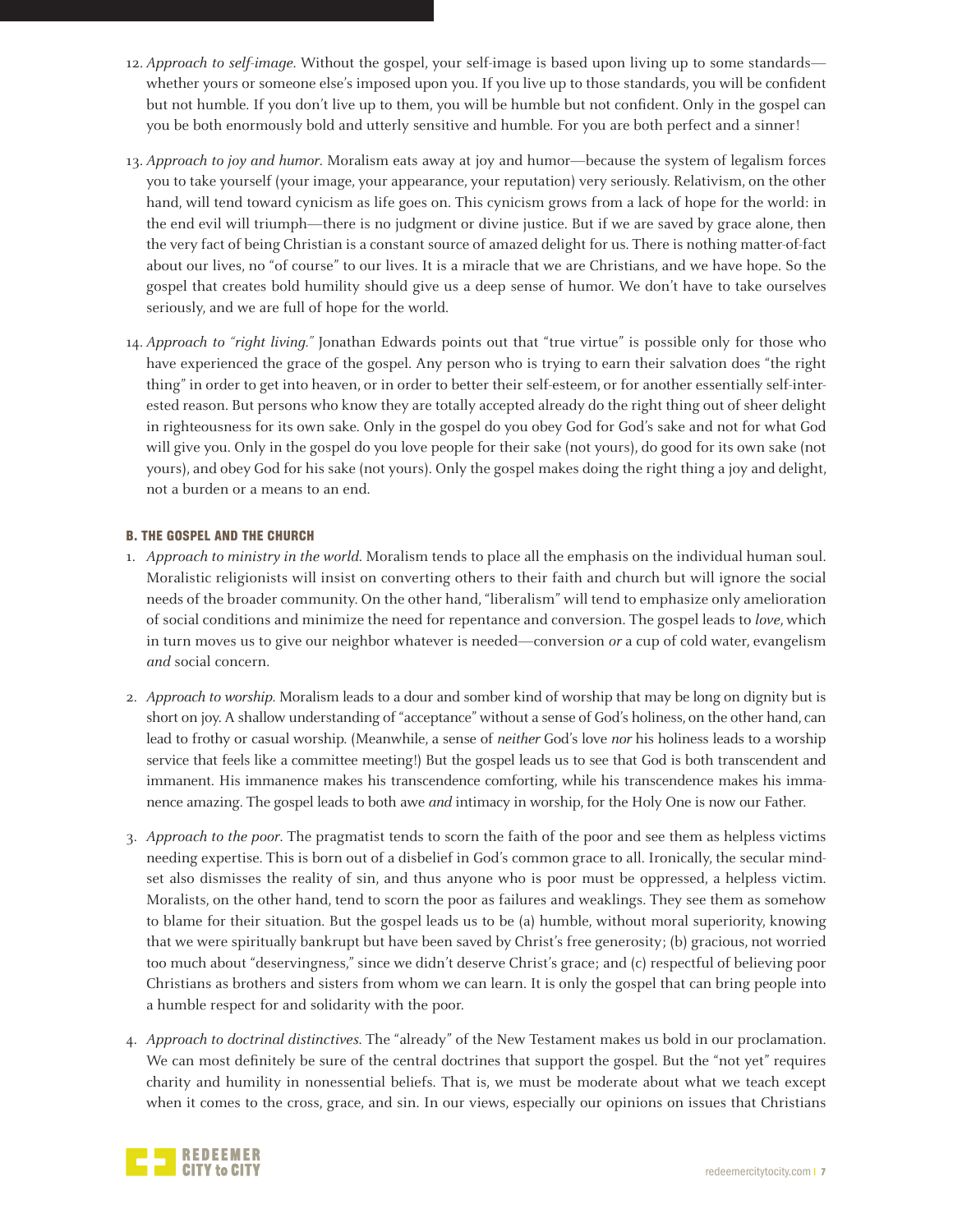- 12. Approach to self-image. Without the gospel, your self-image is based upon living up to some standards whether yours or someone else's imposed upon you. If you live up to those standards, you will be confident but not humble. If you don't live up to them, you will be humble but not confident. Only in the gospel can you be both enormously bold and utterly sensitive and humble. For you are both perfect and a sinner!
- 13. Approach to joy and humor. Moralism eats away at joy and humor—because the system of legalism forces you to take yourself (your image, your appearance, your reputation) very seriously. Relativism, on the other hand, will tend toward cynicism as life goes on. This cynicism grows from a lack of hope for the world: in the end evil will triumph—there is no judgment or divine justice. But if we are saved by grace alone, then the very fact of being Christian is a constant source of amazed delight for us. There is nothing matter-of-fact about our lives, no "of course" to our lives. It is a miracle that we are Christians, and we have hope. So the gospel that creates bold humility should give us a deep sense of humor. We don't have to take ourselves seriously, and we are full of hope for the world.
- 14. Approach to "right living." Jonathan Edwards points out that "true virtue" is possible only for those who have experienced the grace of the gospel. Any person who is trying to earn their salvation does "the right thing" in order to get into heaven, or in order to better their self-esteem, or for another essentially self-interested reason. But persons who know they are totally accepted already do the right thing out of sheer delight in righteousness for its own sake. Only in the gospel do you obey God for God's sake and not for what God will give you. Only in the gospel do you love people for their sake (not yours), do good for its own sake (not yours), and obey God for his sake (not yours). Only the gospel makes doing the right thing a joy and delight, not a burden or a means to an end.

# B. THE GOSPEL AND THE CHURCH

- 1. Approach to ministry in the world. Moralism tends to place all the emphasis on the individual human soul. Moralistic religionists will insist on converting others to their faith and church but will ignore the social needs of the broader community. On the other hand, "liberalism" will tend to emphasize only amelioration of social conditions and minimize the need for repentance and conversion. The gospel leads to love, which in turn moves us to give our neighbor whatever is needed—conversion or a cup of cold water, evangelism and social concern.
- 2. Approach to worship. Moralism leads to a dour and somber kind of worship that may be long on dignity but is short on joy. A shallow understanding of "acceptance" without a sense of God's holiness, on the other hand, can lead to frothy or casual worship. (Meanwhile, a sense of *neither* God's love nor his holiness leads to a worship service that feels like a committee meeting!) But the gospel leads us to see that God is both transcendent and immanent. His immanence makes his transcendence comforting, while his transcendence makes his immanence amazing. The gospel leads to both awe and intimacy in worship, for the Holy One is now our Father.
- 3. Approach to the poor. The pragmatist tends to scorn the faith of the poor and see them as helpless victims needing expertise. This is born out of a disbelief in God's common grace to all. Ironically, the secular mindset also dismisses the reality of sin, and thus anyone who is poor must be oppressed, a helpless victim. Moralists, on the other hand, tend to scorn the poor as failures and weaklings. They see them as somehow to blame for their situation. But the gospel leads us to be (a) humble, without moral superiority, knowing that we were spiritually bankrupt but have been saved by Christ's free generosity; (b) gracious, not worried too much about "deservingness," since we didn't deserve Christ's grace; and (c) respectful of believing poor Christians as brothers and sisters from whom we can learn. It is only the gospel that can bring people into a humble respect for and solidarity with the poor.
- 4. Approach to doctrinal distinctives. The "already" of the New Testament makes us bold in our proclamation. We can most definitely be sure of the central doctrines that support the gospel. But the "not yet" requires charity and humility in nonessential beliefs. That is, we must be moderate about what we teach except when it comes to the cross, grace, and sin. In our views, especially our opinions on issues that Christians